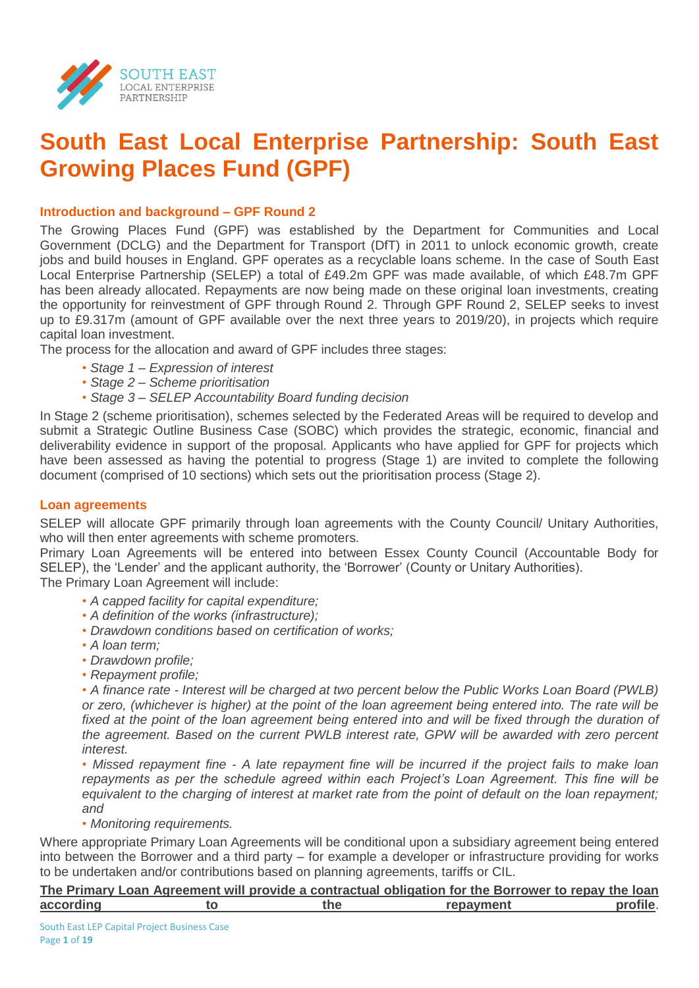

# **South East Local Enterprise Partnership: South East Growing Places Fund (GPF)**

# **Introduction and background – GPF Round 2**

The Growing Places Fund (GPF) was established by the Department for Communities and Local Government (DCLG) and the Department for Transport (DfT) in 2011 to unlock economic growth, create jobs and build houses in England. GPF operates as a recyclable loans scheme. In the case of South East Local Enterprise Partnership (SELEP) a total of £49.2m GPF was made available, of which £48.7m GPF has been already allocated. Repayments are now being made on these original loan investments, creating the opportunity for reinvestment of GPF through Round 2. Through GPF Round 2, SELEP seeks to invest up to £9.317m (amount of GPF available over the next three years to 2019/20), in projects which require capital loan investment.

The process for the allocation and award of GPF includes three stages:

- *Stage 1 – Expression of interest*
- *• Stage 2 – Scheme prioritisation*
- *• Stage 3 – SELEP Accountability Board funding decision*

In Stage 2 (scheme prioritisation), schemes selected by the Federated Areas will be required to develop and submit a Strategic Outline Business Case (SOBC) which provides the strategic, economic, financial and deliverability evidence in support of the proposal. Applicants who have applied for GPF for projects which have been assessed as having the potential to progress (Stage 1) are invited to complete the following document (comprised of 10 sections) which sets out the prioritisation process (Stage 2).

## **Loan agreements**

SELEP will allocate GPF primarily through loan agreements with the County Council/ Unitary Authorities, who will then enter agreements with scheme promoters.

Primary Loan Agreements will be entered into between Essex County Council (Accountable Body for SELEP), the 'Lender' and the applicant authority, the 'Borrower' (County or Unitary Authorities).

The Primary Loan Agreement will include:

- *• A capped facility for capital expenditure;*
- *• A definition of the works (infrastructure);*
- *• Drawdown conditions based on certification of works;*
- *• A loan term;*
- *• Drawdown profile;*
- *• Repayment profile;*

*• A finance rate - Interest will be charged at two percent below the Public Works Loan Board (PWLB) or zero, (whichever is higher) at the point of the loan agreement being entered into. The rate will be*  fixed at the point of the loan agreement being entered into and will be fixed through the duration of *the agreement. Based on the current PWLB interest rate, GPW will be awarded with zero percent interest.* 

*• Missed repayment fine - A late repayment fine will be incurred if the project fails to make loan repayments as per the schedule agreed within each Project's Loan Agreement. This fine will be*  equivalent to the charging of interest at market rate from the point of default on the loan repayment; *and*

*• Monitoring requirements.*

Where appropriate Primary Loan Agreements will be conditional upon a subsidiary agreement being entered into between the Borrower and a third party – for example a developer or infrastructure providing for works to be undertaken and/or contributions based on planning agreements, tariffs or CIL.

|           |     | The Primary Loan Agreement will provide a contractual obligation for the Borrower to repay the loan |          |
|-----------|-----|-----------------------------------------------------------------------------------------------------|----------|
| according | the | repayment                                                                                           | profile. |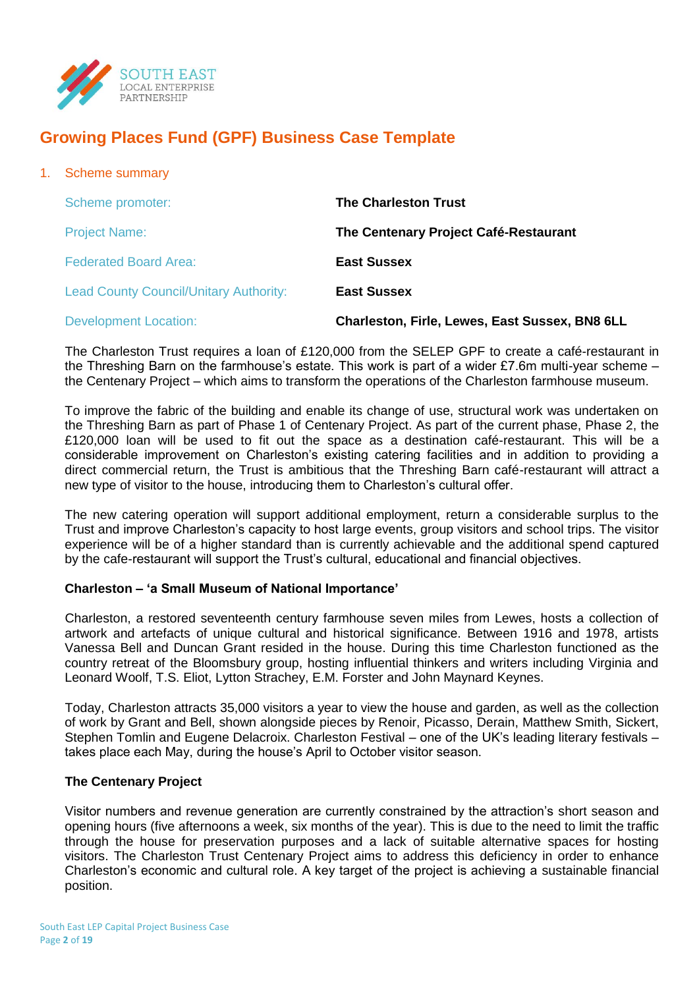

# **Growing Places Fund (GPF) Business Case Template**

| <b>Scheme summary</b>                         |                                                       |
|-----------------------------------------------|-------------------------------------------------------|
| Scheme promoter:                              | <b>The Charleston Trust</b>                           |
| <b>Project Name:</b>                          | The Centenary Project Café-Restaurant                 |
| <b>Federated Board Area:</b>                  | <b>East Sussex</b>                                    |
| <b>Lead County Council/Unitary Authority:</b> | <b>East Sussex</b>                                    |
| <b>Development Location:</b>                  | <b>Charleston, Firle, Lewes, East Sussex, BN8 6LL</b> |
|                                               |                                                       |

The Charleston Trust requires a loan of £120,000 from the SELEP GPF to create a café-restaurant in the Threshing Barn on the farmhouse's estate. This work is part of a wider £7.6m multi-year scheme – the Centenary Project – which aims to transform the operations of the Charleston farmhouse museum.

To improve the fabric of the building and enable its change of use, structural work was undertaken on the Threshing Barn as part of Phase 1 of Centenary Project. As part of the current phase, Phase 2, the £120,000 loan will be used to fit out the space as a destination café-restaurant. This will be a considerable improvement on Charleston's existing catering facilities and in addition to providing a direct commercial return, the Trust is ambitious that the Threshing Barn café-restaurant will attract a new type of visitor to the house, introducing them to Charleston's cultural offer.

The new catering operation will support additional employment, return a considerable surplus to the Trust and improve Charleston's capacity to host large events, group visitors and school trips. The visitor experience will be of a higher standard than is currently achievable and the additional spend captured by the cafe-restaurant will support the Trust's cultural, educational and financial objectives.

## **Charleston – 'a Small Museum of National Importance'**

Charleston, a restored seventeenth century farmhouse seven miles from Lewes, hosts a collection of artwork and artefacts of unique cultural and historical significance. Between 1916 and 1978, artists Vanessa Bell and Duncan Grant resided in the house. During this time Charleston functioned as the country retreat of the Bloomsbury group, hosting influential thinkers and writers including Virginia and Leonard Woolf, T.S. Eliot, Lytton Strachey, E.M. Forster and John Maynard Keynes.

Today, Charleston attracts 35,000 visitors a year to view the house and garden, as well as the collection of work by Grant and Bell, shown alongside pieces by Renoir, Picasso, Derain, Matthew Smith, Sickert, Stephen Tomlin and Eugene Delacroix. Charleston Festival – one of the UK's leading literary festivals – takes place each May, during the house's April to October visitor season.

## **The Centenary Project**

Visitor numbers and revenue generation are currently constrained by the attraction's short season and opening hours (five afternoons a week, six months of the year). This is due to the need to limit the traffic through the house for preservation purposes and a lack of suitable alternative spaces for hosting visitors. The Charleston Trust Centenary Project aims to address this deficiency in order to enhance Charleston's economic and cultural role. A key target of the project is achieving a sustainable financial position.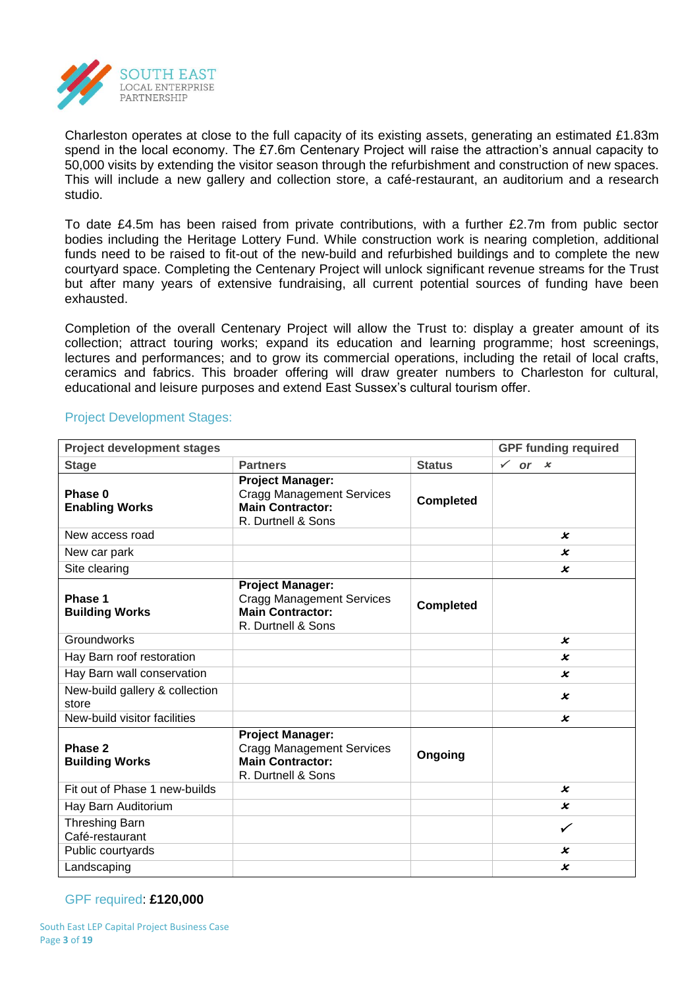

Charleston operates at close to the full capacity of its existing assets, generating an estimated £1.83m spend in the local economy. The £7.6m Centenary Project will raise the attraction's annual capacity to 50,000 visits by extending the visitor season through the refurbishment and construction of new spaces. This will include a new gallery and collection store, a café-restaurant, an auditorium and a research studio.

To date £4.5m has been raised from private contributions, with a further £2.7m from public sector bodies including the Heritage Lottery Fund. While construction work is nearing completion, additional funds need to be raised to fit-out of the new-build and refurbished buildings and to complete the new courtyard space. Completing the Centenary Project will unlock significant revenue streams for the Trust but after many years of extensive fundraising, all current potential sources of funding have been exhausted.

Completion of the overall Centenary Project will allow the Trust to: display a greater amount of its collection; attract touring works; expand its education and learning programme; host screenings, lectures and performances; and to grow its commercial operations, including the retail of local crafts, ceramics and fabrics. This broader offering will draw greater numbers to Charleston for cultural, educational and leisure purposes and extend East Sussex's cultural tourism offer.

| <b>Project development stages</b>        | <b>GPF funding required</b>                                                                                  |                  |                           |
|------------------------------------------|--------------------------------------------------------------------------------------------------------------|------------------|---------------------------|
| <b>Stage</b>                             | <b>Partners</b>                                                                                              | <b>Status</b>    | or $x$<br>$\checkmark$    |
| Phase 0<br><b>Enabling Works</b>         | <b>Project Manager:</b><br><b>Cragg Management Services</b><br><b>Main Contractor:</b><br>R. Durtnell & Sons | <b>Completed</b> |                           |
| New access road                          |                                                                                                              |                  | x                         |
| New car park                             |                                                                                                              |                  | x                         |
| Site clearing                            |                                                                                                              |                  | x                         |
| Phase 1<br><b>Building Works</b>         | <b>Project Manager:</b><br><b>Cragg Management Services</b><br><b>Main Contractor:</b><br>R. Durtnell & Sons | <b>Completed</b> |                           |
| Groundworks                              |                                                                                                              |                  | $\boldsymbol{\varkappa}$  |
| Hay Barn roof restoration                |                                                                                                              |                  | x                         |
| Hay Barn wall conservation               |                                                                                                              |                  | x                         |
| New-build gallery & collection<br>store  |                                                                                                              |                  | x                         |
| New-build visitor facilities             |                                                                                                              |                  | $\boldsymbol{\mathsf{x}}$ |
| Phase 2<br><b>Building Works</b>         | <b>Project Manager:</b><br><b>Cragg Management Services</b><br><b>Main Contractor:</b><br>R. Durtnell & Sons | Ongoing          |                           |
| Fit out of Phase 1 new-builds            |                                                                                                              |                  | x                         |
| Hay Barn Auditorium                      |                                                                                                              |                  | x                         |
| <b>Threshing Barn</b><br>Café-restaurant |                                                                                                              |                  | ✓                         |
| Public courtyards                        |                                                                                                              |                  | $\pmb{\mathsf{x}}$        |
| Landscaping                              |                                                                                                              |                  | x                         |

# Project Development Stages:

## GPF required: **£120,000**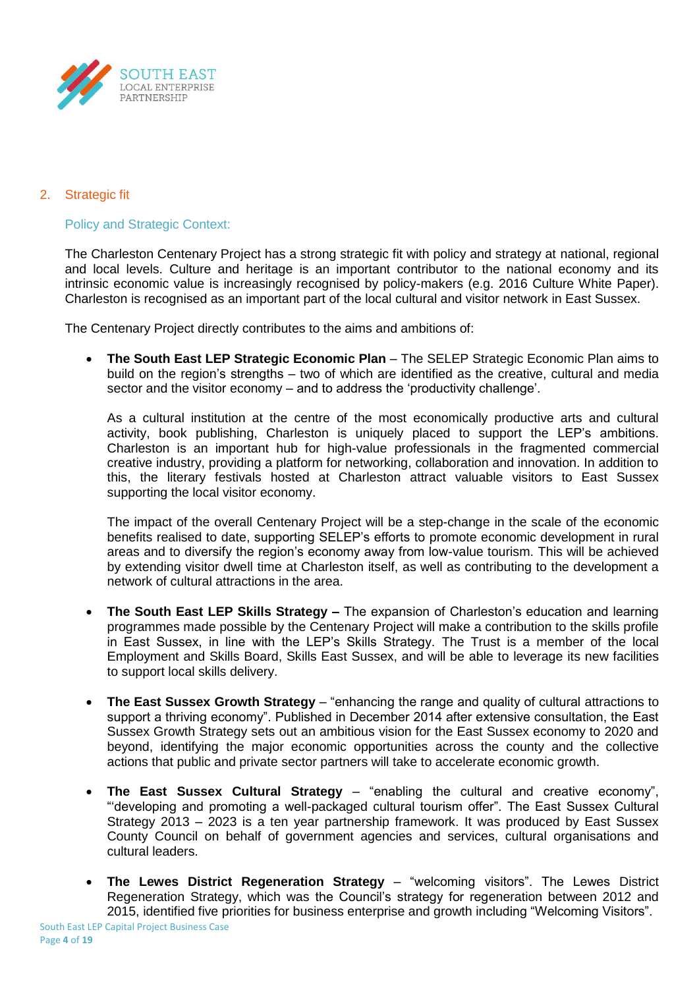

# 2. Strategic fit

Policy and Strategic Context:

The Charleston Centenary Project has a strong strategic fit with policy and strategy at national, regional and local levels. Culture and heritage is an important contributor to the national economy and its intrinsic economic value is increasingly recognised by policy-makers (e.g. 2016 Culture White Paper). Charleston is recognised as an important part of the local cultural and visitor network in East Sussex.

The Centenary Project directly contributes to the aims and ambitions of:

 **The South East LEP Strategic Economic Plan** – The SELEP Strategic Economic Plan aims to build on the region's strengths – two of which are identified as the creative, cultural and media sector and the visitor economy – and to address the 'productivity challenge'.

As a cultural institution at the centre of the most economically productive arts and cultural activity, book publishing, Charleston is uniquely placed to support the LEP's ambitions. Charleston is an important hub for high-value professionals in the fragmented commercial creative industry, providing a platform for networking, collaboration and innovation. In addition to this, the literary festivals hosted at Charleston attract valuable visitors to East Sussex supporting the local visitor economy.

The impact of the overall Centenary Project will be a step-change in the scale of the economic benefits realised to date, supporting SELEP's efforts to promote economic development in rural areas and to diversify the region's economy away from low-value tourism. This will be achieved by extending visitor dwell time at Charleston itself, as well as contributing to the development a network of cultural attractions in the area.

- **The South East LEP Skills Strategy –** The expansion of Charleston's education and learning programmes made possible by the Centenary Project will make a contribution to the skills profile in East Sussex, in line with the LEP's Skills Strategy. The Trust is a member of the local Employment and Skills Board, Skills East Sussex, and will be able to leverage its new facilities to support local skills delivery.
- **The East Sussex Growth Strategy** "enhancing the range and quality of cultural attractions to support a thriving economy". Published in December 2014 after extensive consultation, the East Sussex Growth Strategy sets out an ambitious vision for the East Sussex economy to 2020 and beyond, identifying the major economic opportunities across the county and the collective actions that public and private sector partners will take to accelerate economic growth.
- **The East Sussex Cultural Strategy** "enabling the cultural and creative economy", "'developing and promoting a well-packaged cultural tourism offer". The East Sussex Cultural Strategy 2013 – 2023 is a ten year partnership framework. It was produced by East Sussex County Council on behalf of government agencies and services, cultural organisations and cultural leaders.
- **The Lewes District Regeneration Strategy**  "welcoming visitors". The Lewes District Regeneration Strategy, which was the Council's strategy for regeneration between 2012 and 2015, identified five priorities for business enterprise and growth including "Welcoming Visitors".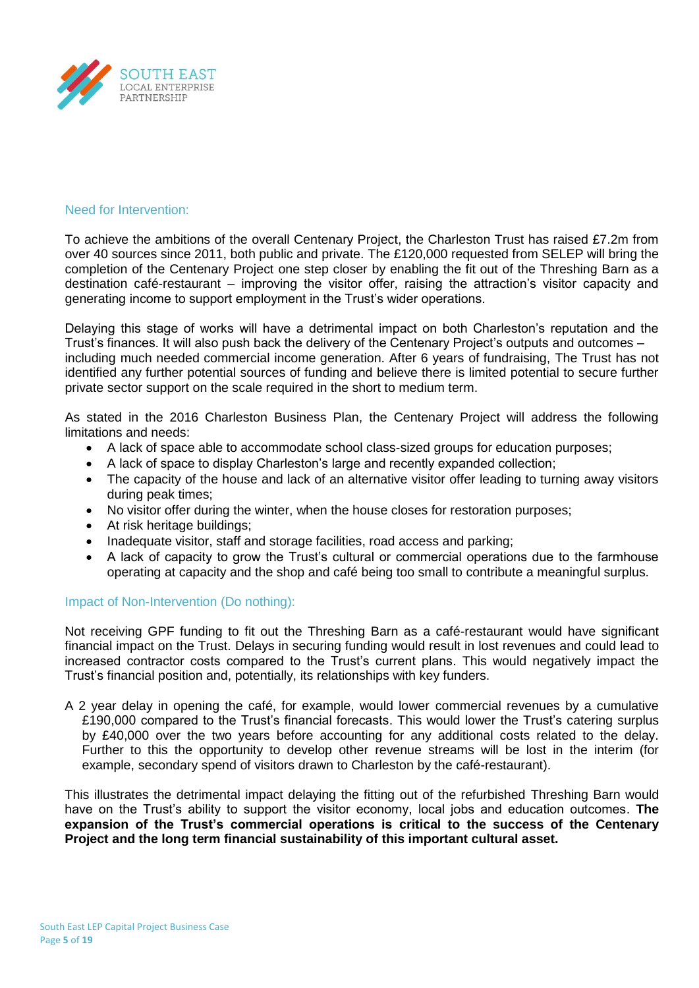

#### Need for Intervention:

To achieve the ambitions of the overall Centenary Project, the Charleston Trust has raised £7.2m from over 40 sources since 2011, both public and private. The £120,000 requested from SELEP will bring the completion of the Centenary Project one step closer by enabling the fit out of the Threshing Barn as a destination café-restaurant – improving the visitor offer, raising the attraction's visitor capacity and generating income to support employment in the Trust's wider operations.

Delaying this stage of works will have a detrimental impact on both Charleston's reputation and the Trust's finances. It will also push back the delivery of the Centenary Project's outputs and outcomes – including much needed commercial income generation. After 6 years of fundraising, The Trust has not identified any further potential sources of funding and believe there is limited potential to secure further private sector support on the scale required in the short to medium term.

As stated in the 2016 Charleston Business Plan, the Centenary Project will address the following limitations and needs:

- A lack of space able to accommodate school class-sized groups for education purposes;
- A lack of space to display Charleston's large and recently expanded collection;
- The capacity of the house and lack of an alternative visitor offer leading to turning away visitors during peak times;
- No visitor offer during the winter, when the house closes for restoration purposes;
- At risk heritage buildings;
- Inadequate visitor, staff and storage facilities, road access and parking;
- A lack of capacity to grow the Trust's cultural or commercial operations due to the farmhouse operating at capacity and the shop and café being too small to contribute a meaningful surplus.

#### Impact of Non-Intervention (Do nothing):

Not receiving GPF funding to fit out the Threshing Barn as a café-restaurant would have significant financial impact on the Trust. Delays in securing funding would result in lost revenues and could lead to increased contractor costs compared to the Trust's current plans. This would negatively impact the Trust's financial position and, potentially, its relationships with key funders.

A 2 year delay in opening the café, for example, would lower commercial revenues by a cumulative £190,000 compared to the Trust's financial forecasts. This would lower the Trust's catering surplus by £40,000 over the two years before accounting for any additional costs related to the delay. Further to this the opportunity to develop other revenue streams will be lost in the interim (for example, secondary spend of visitors drawn to Charleston by the café-restaurant).

This illustrates the detrimental impact delaying the fitting out of the refurbished Threshing Barn would have on the Trust's ability to support the visitor economy, local jobs and education outcomes. **The expansion of the Trust's commercial operations is critical to the success of the Centenary Project and the long term financial sustainability of this important cultural asset.**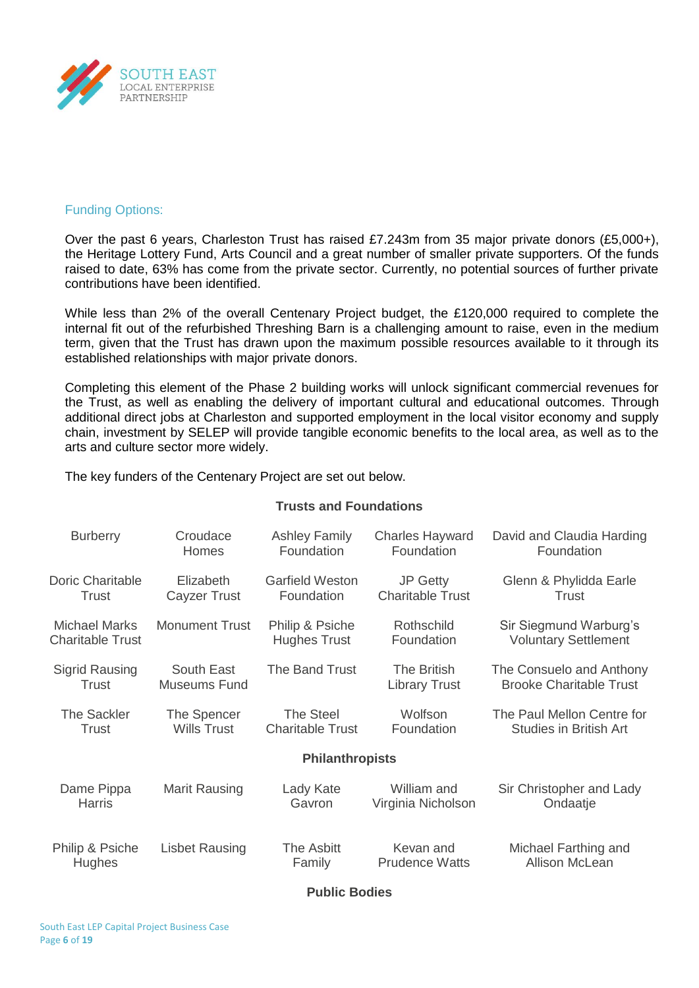

## Funding Options:

Over the past 6 years, Charleston Trust has raised £7.243m from 35 major private donors (£5,000+), the Heritage Lottery Fund, Arts Council and a great number of smaller private supporters. Of the funds raised to date, 63% has come from the private sector. Currently, no potential sources of further private contributions have been identified.

While less than 2% of the overall Centenary Project budget, the £120,000 required to complete the internal fit out of the refurbished Threshing Barn is a challenging amount to raise, even in the medium term, given that the Trust has drawn upon the maximum possible resources available to it through its established relationships with major private donors.

Completing this element of the Phase 2 building works will unlock significant commercial revenues for the Trust, as well as enabling the delivery of important cultural and educational outcomes. Through additional direct jobs at Charleston and supported employment in the local visitor economy and supply chain, investment by SELEP will provide tangible economic benefits to the local area, as well as to the arts and culture sector more widely.

The key funders of the Centenary Project are set out below.

## **Trusts and Foundations**

| <b>Burberry</b>         | Croudace              | <b>Ashley Family</b>    | <b>Charles Hayward</b>  | David and Claudia Harding      |
|-------------------------|-----------------------|-------------------------|-------------------------|--------------------------------|
|                         | <b>Homes</b>          | Foundation              | Foundation              | Foundation                     |
| <b>Doric Charitable</b> | Elizabeth             | <b>Garfield Weston</b>  | <b>JP Getty</b>         | Glenn & Phylidda Earle         |
| Trust                   | <b>Cayzer Trust</b>   | Foundation              | <b>Charitable Trust</b> | Trust                          |
| <b>Michael Marks</b>    | <b>Monument Trust</b> | Philip & Psiche         | Rothschild              | Sir Siegmund Warburg's         |
| <b>Charitable Trust</b> |                       | <b>Hughes Trust</b>     | Foundation              | <b>Voluntary Settlement</b>    |
| <b>Sigrid Rausing</b>   | South East            | The Band Trust          | The British             | The Consuelo and Anthony       |
| Trust                   | Museums Fund          |                         | <b>Library Trust</b>    | <b>Brooke Charitable Trust</b> |
| <b>The Sackler</b>      | The Spencer           | The Steel               | Wolfson                 | The Paul Mellon Centre for     |
| Trust                   | <b>Wills Trust</b>    | <b>Charitable Trust</b> | Foundation              | <b>Studies in British Art</b>  |
|                         |                       | <b>Philanthropists</b>  |                         |                                |
| Dame Pippa              | Marit Rausing         | Lady Kate               | William and             | Sir Christopher and Lady       |
| <b>Harris</b>           |                       | Gavron                  | Virginia Nicholson      | Ondaatje                       |
| Philip & Psiche         | <b>Lisbet Rausing</b> | The Asbitt              | Kevan and               | Michael Farthing and           |
| Hughes                  |                       | Family                  | <b>Prudence Watts</b>   | Allison McLean                 |

**Public Bodies**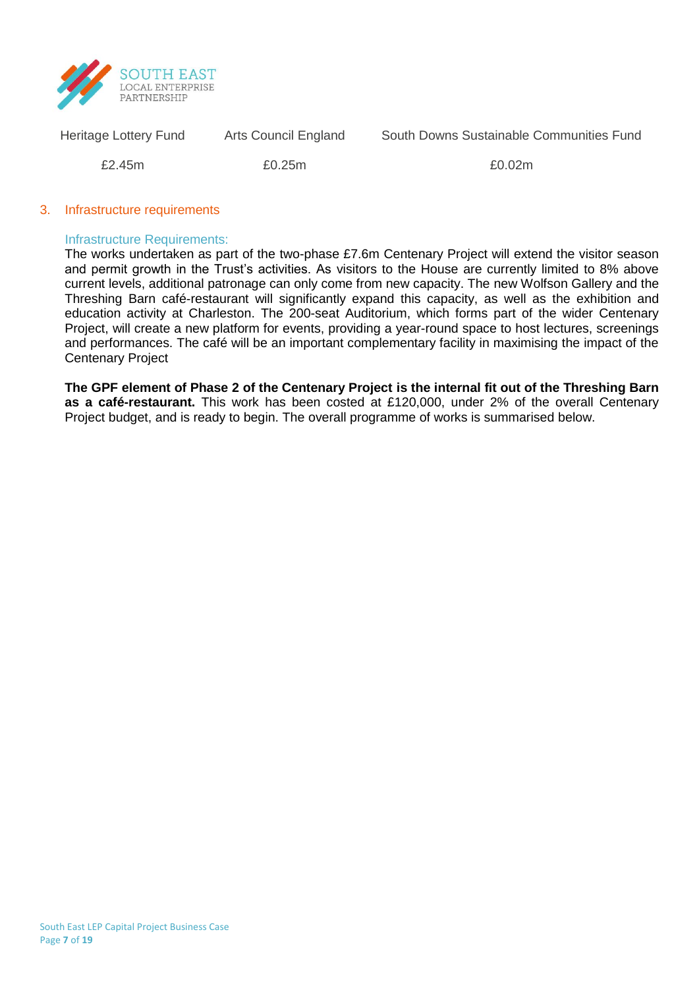

South Downs Sustainable Communities Fund

£2.45m

Heritage Lottery Fund

Arts Council England

£0.25m

£0.02m

#### 3. Infrastructure requirements

#### Infrastructure Requirements:

The works undertaken as part of the two-phase £7.6m Centenary Project will extend the visitor season and permit growth in the Trust's activities. As visitors to the House are currently limited to 8% above current levels, additional patronage can only come from new capacity. The new Wolfson Gallery and the Threshing Barn café-restaurant will significantly expand this capacity, as well as the exhibition and education activity at Charleston. The 200-seat Auditorium, which forms part of the wider Centenary Project, will create a new platform for events, providing a year-round space to host lectures, screenings and performances. The café will be an important complementary facility in maximising the impact of the Centenary Project

**The GPF element of Phase 2 of the Centenary Project is the internal fit out of the Threshing Barn as a café-restaurant.** This work has been costed at £120,000, under 2% of the overall Centenary Project budget, and is ready to begin. The overall programme of works is summarised below.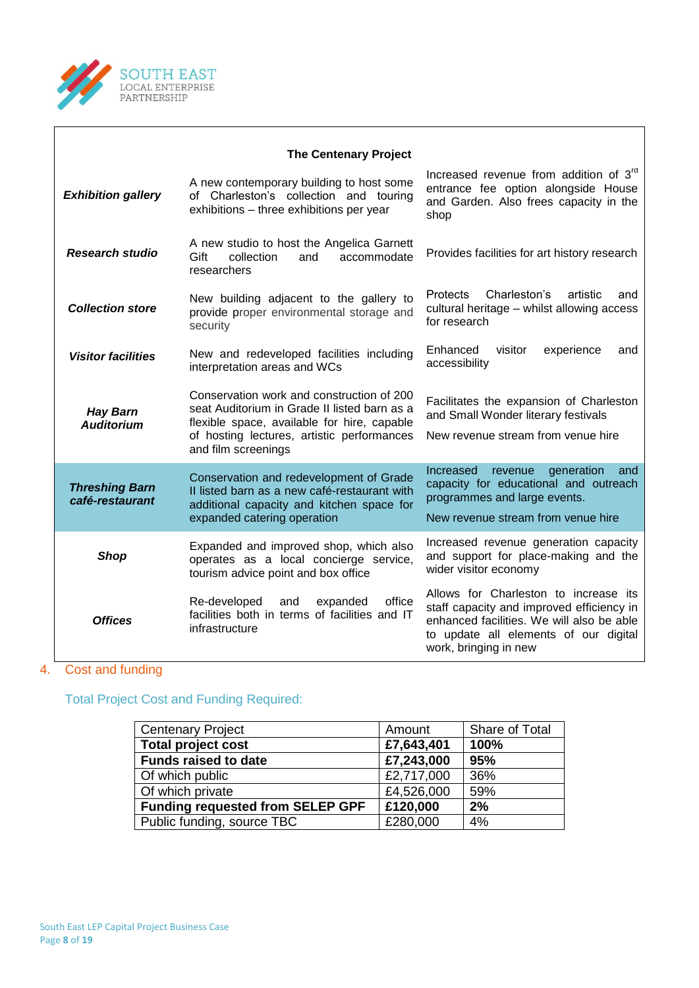

|                                          | <b>The Centenary Project</b>                                                                                                                                                                                  |                                                                                                                                                                                                   |
|------------------------------------------|---------------------------------------------------------------------------------------------------------------------------------------------------------------------------------------------------------------|---------------------------------------------------------------------------------------------------------------------------------------------------------------------------------------------------|
| <b>Exhibition gallery</b>                | A new contemporary building to host some<br>of Charleston's collection and touring<br>exhibitions - three exhibitions per year                                                                                | Increased revenue from addition of 3rd<br>entrance fee option alongside House<br>and Garden. Also frees capacity in the<br>shop                                                                   |
| <b>Research studio</b>                   | A new studio to host the Angelica Garnett<br>Gift<br>collection<br>and<br>accommodate<br>researchers                                                                                                          | Provides facilities for art history research                                                                                                                                                      |
| <b>Collection store</b>                  | New building adjacent to the gallery to<br>provide proper environmental storage and<br>security                                                                                                               | Charleston's<br>Protects<br>artistic<br>and<br>cultural heritage - whilst allowing access<br>for research                                                                                         |
| <b>Visitor facilities</b>                | New and redeveloped facilities including<br>interpretation areas and WCs                                                                                                                                      | Enhanced<br>visitor<br>experience<br>and<br>accessibility                                                                                                                                         |
| <b>Hay Barn</b><br><b>Auditorium</b>     | Conservation work and construction of 200<br>seat Auditorium in Grade II listed barn as a<br>flexible space, available for hire, capable<br>of hosting lectures, artistic performances<br>and film screenings | Facilitates the expansion of Charleston<br>and Small Wonder literary festivals<br>New revenue stream from venue hire                                                                              |
| <b>Threshing Barn</b><br>café-restaurant | Conservation and redevelopment of Grade<br>Il listed barn as a new café-restaurant with<br>additional capacity and kitchen space for<br>expanded catering operation                                           | Increased<br>generation<br>revenue<br>and<br>capacity for educational and outreach<br>programmes and large events.<br>New revenue stream from venue hire                                          |
| <b>Shop</b>                              | Expanded and improved shop, which also<br>operates as a local concierge service,<br>tourism advice point and box office                                                                                       | Increased revenue generation capacity<br>and support for place-making and the<br>wider visitor economy                                                                                            |
| <b>Offices</b>                           | office<br>Re-developed<br>expanded<br>and<br>facilities both in terms of facilities and IT<br>infrastructure                                                                                                  | Allows for Charleston to increase its<br>staff capacity and improved efficiency in<br>enhanced facilities. We will also be able<br>to update all elements of our digital<br>work, bringing in new |

 $\overline{\phantom{0}}$ 

# 4. Cost and funding

Total Project Cost and Funding Required:

| <b>Centenary Project</b>                | Amount     | Share of Total |
|-----------------------------------------|------------|----------------|
| <b>Total project cost</b>               | £7,643,401 | 100%           |
| <b>Funds raised to date</b>             | £7,243,000 | 95%            |
| Of which public                         | £2,717,000 | 36%            |
| Of which private                        | £4,526,000 | 59%            |
| <b>Funding requested from SELEP GPF</b> | £120,000   | 2%             |
| Public funding, source TBC              | £280,000   | 4%             |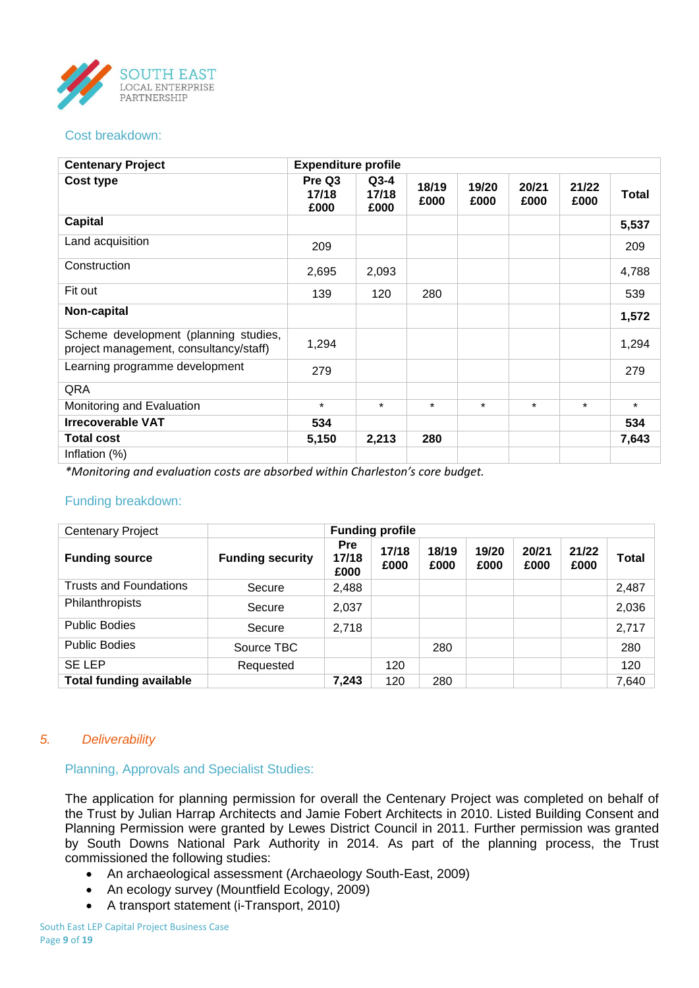

#### Cost breakdown:

| <b>Centenary Project</b>                                                        | <b>Expenditure profile</b> |                         |               |               |               |               |         |
|---------------------------------------------------------------------------------|----------------------------|-------------------------|---------------|---------------|---------------|---------------|---------|
| Cost type                                                                       | Pre Q3<br>17/18<br>£000    | $Q3-4$<br>17/18<br>£000 | 18/19<br>£000 | 19/20<br>£000 | 20/21<br>£000 | 21/22<br>£000 | Total   |
| <b>Capital</b>                                                                  |                            |                         |               |               |               |               | 5,537   |
| Land acquisition                                                                | 209                        |                         |               |               |               |               | 209     |
| Construction                                                                    | 2,695                      | 2,093                   |               |               |               |               | 4,788   |
| Fit out                                                                         | 139                        | 120                     | 280           |               |               |               | 539     |
| Non-capital                                                                     |                            |                         |               |               |               |               | 1,572   |
| Scheme development (planning studies,<br>project management, consultancy/staff) | 1,294                      |                         |               |               |               |               | 1,294   |
| Learning programme development                                                  | 279                        |                         |               |               |               |               | 279     |
| QRA                                                                             |                            |                         |               |               |               |               |         |
| Monitoring and Evaluation                                                       | $\star$                    | $\star$                 | $\star$       | $\star$       | $\star$       | $\star$       | $\star$ |
| <b>Irrecoverable VAT</b>                                                        | 534                        |                         |               |               |               |               | 534     |
| <b>Total cost</b>                                                               | 5,150                      | 2,213                   | 280           |               |               |               | 7,643   |
| Inflation (%)                                                                   |                            |                         |               |               |               |               |         |

*\*Monitoring and evaluation costs are absorbed within Charleston's core budget.*

#### Funding breakdown:

| <b>Centenary Project</b>       |                         |                             | <b>Funding profile</b> |               |               |               |               |       |
|--------------------------------|-------------------------|-----------------------------|------------------------|---------------|---------------|---------------|---------------|-------|
| <b>Funding source</b>          | <b>Funding security</b> | <b>Pre</b><br>17/18<br>£000 | 17/18<br>£000          | 18/19<br>£000 | 19/20<br>£000 | 20/21<br>£000 | 21/22<br>£000 | Total |
| <b>Trusts and Foundations</b>  | Secure                  | 2,488                       |                        |               |               |               |               | 2,487 |
| Philanthropists                | Secure                  | 2,037                       |                        |               |               |               |               | 2,036 |
| <b>Public Bodies</b>           | Secure                  | 2,718                       |                        |               |               |               |               | 2,717 |
| <b>Public Bodies</b>           | Source TBC              |                             |                        | 280           |               |               |               | 280   |
| <b>SE LEP</b>                  | Requested               |                             | 120                    |               |               |               |               | 120   |
| <b>Total funding available</b> |                         | 7,243                       | 120                    | 280           |               |               |               | 7,640 |

## *5. Deliverability*

Planning, Approvals and Specialist Studies:

The application for planning permission for overall the Centenary Project was completed on behalf of the Trust by Julian Harrap Architects and Jamie Fobert Architects in 2010. Listed Building Consent and Planning Permission were granted by Lewes District Council in 2011. Further permission was granted by South Downs National Park Authority in 2014. As part of the planning process, the Trust commissioned the following studies:

- An archaeological assessment (Archaeology South-East, 2009)
- An ecology survey (Mountfield Ecology, 2009)
- A transport statement (i-Transport, 2010)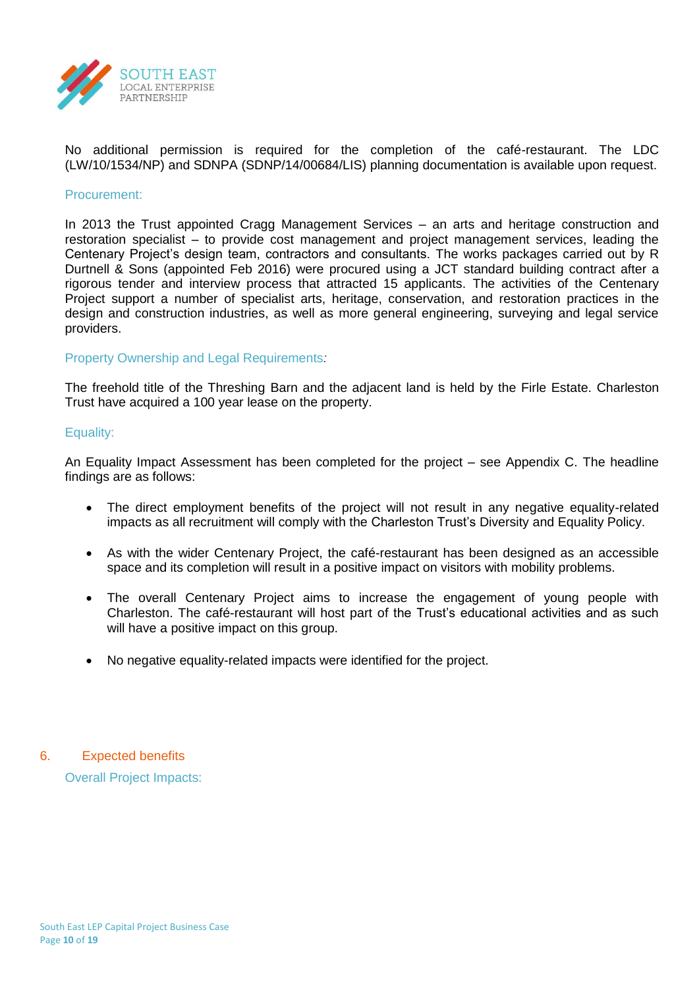

No additional permission is required for the completion of the café-restaurant. The LDC (LW/10/1534/NP) and SDNPA (SDNP/14/00684/LIS) planning documentation is available upon request.

#### Procurement:

In 2013 the Trust appointed Cragg Management Services – an arts and heritage construction and restoration specialist – to provide cost management and project management services, leading the Centenary Project's design team, contractors and consultants. The works packages carried out by R Durtnell & Sons (appointed Feb 2016) were procured using a JCT standard building contract after a rigorous tender and interview process that attracted 15 applicants. The activities of the Centenary Project support a number of specialist arts, heritage, conservation, and restoration practices in the design and construction industries, as well as more general engineering, surveying and legal service providers.

#### Property Ownership and Legal Requirements*:*

The freehold title of the Threshing Barn and the adjacent land is held by the Firle Estate. Charleston Trust have acquired a 100 year lease on the property.

#### Equality:

An Equality Impact Assessment has been completed for the project – see Appendix C. The headline findings are as follows:

- The direct employment benefits of the project will not result in any negative equality-related impacts as all recruitment will comply with the Charleston Trust's Diversity and Equality Policy.
- As with the wider Centenary Project, the café-restaurant has been designed as an accessible space and its completion will result in a positive impact on visitors with mobility problems.
- The overall Centenary Project aims to increase the engagement of young people with Charleston. The café-restaurant will host part of the Trust's educational activities and as such will have a positive impact on this group.
- No negative equality-related impacts were identified for the project.

## 6. Expected benefits

Overall Project Impacts: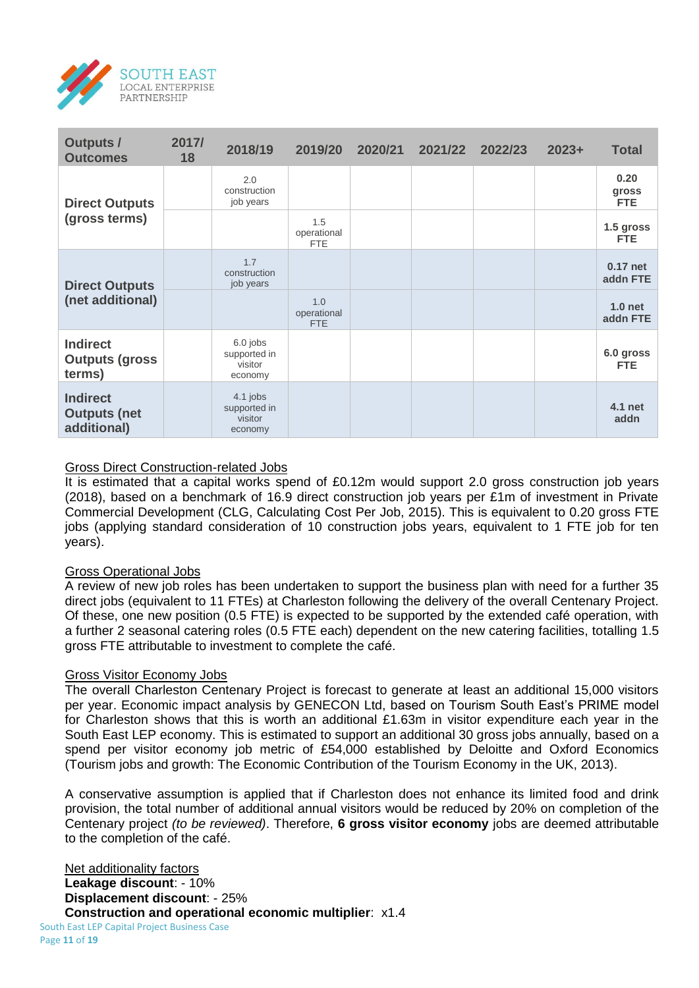

| <b>Outputs /</b><br><b>Outcomes</b>                   | 2017/<br>18 | 2018/19                                          | 2019/20                          | 2020/21 | 2021/22 | 2022/23 | $2023+$ | <b>Total</b>                   |
|-------------------------------------------------------|-------------|--------------------------------------------------|----------------------------------|---------|---------|---------|---------|--------------------------------|
| <b>Direct Outputs</b>                                 |             | 2.0<br>construction<br>job years                 |                                  |         |         |         |         | 0.20<br>gross<br><b>FTE</b>    |
| (gross terms)                                         |             |                                                  | 1.5<br>operational<br><b>FTE</b> |         |         |         |         | 1.5 gross<br><b>FTE</b>        |
| <b>Direct Outputs</b>                                 |             | 1.7<br>construction<br>job years                 |                                  |         |         |         |         | 0.17 net<br>addn FTE           |
| (net additional)                                      |             |                                                  | 1.0<br>operational<br><b>FTE</b> |         |         |         |         | 1.0 <sub>net</sub><br>addn FTE |
| <b>Indirect</b><br><b>Outputs (gross)</b><br>terms)   |             | $6.0$ jobs<br>supported in<br>visitor<br>economy |                                  |         |         |         |         | 6.0 gross<br><b>FTE</b>        |
| <b>Indirect</b><br><b>Outputs (net</b><br>additional) |             | 4.1 jobs<br>supported in<br>visitor<br>economy   |                                  |         |         |         |         | 4.1 net<br>addn                |

## Gross Direct Construction-related Jobs

It is estimated that a capital works spend of £0.12m would support 2.0 gross construction job years (2018), based on a benchmark of 16.9 direct construction job years per £1m of investment in Private Commercial Development (CLG, Calculating Cost Per Job, 2015). This is equivalent to 0.20 gross FTE jobs (applying standard consideration of 10 construction jobs years, equivalent to 1 FTE job for ten years).

## Gross Operational Jobs

A review of new job roles has been undertaken to support the business plan with need for a further 35 direct jobs (equivalent to 11 FTEs) at Charleston following the delivery of the overall Centenary Project. Of these, one new position (0.5 FTE) is expected to be supported by the extended café operation, with a further 2 seasonal catering roles (0.5 FTE each) dependent on the new catering facilities, totalling 1.5 gross FTE attributable to investment to complete the café.

## Gross Visitor Economy Jobs

The overall Charleston Centenary Project is forecast to generate at least an additional 15,000 visitors per year. Economic impact analysis by GENECON Ltd, based on Tourism South East's PRIME model for Charleston shows that this is worth an additional £1.63m in visitor expenditure each year in the South East LEP economy. This is estimated to support an additional 30 gross jobs annually, based on a spend per visitor economy job metric of £54,000 established by Deloitte and Oxford Economics (Tourism jobs and growth: The Economic Contribution of the Tourism Economy in the UK, 2013).

A conservative assumption is applied that if Charleston does not enhance its limited food and drink provision, the total number of additional annual visitors would be reduced by 20% on completion of the Centenary project *(to be reviewed)*. Therefore, **6 gross visitor economy** jobs are deemed attributable to the completion of the café.

South East LEP Capital Project Business Case Net additionality factors **Leakage discount**: - 10% **Displacement discount**: - 25% **Construction and operational economic multiplier**: x1.4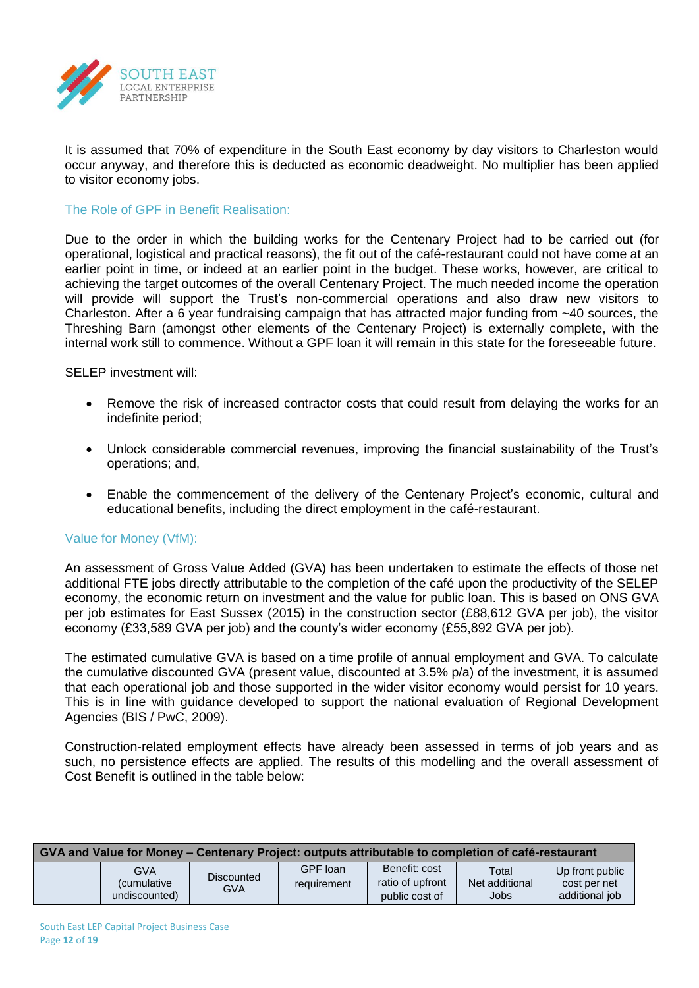

It is assumed that 70% of expenditure in the South East economy by day visitors to Charleston would occur anyway, and therefore this is deducted as economic deadweight. No multiplier has been applied to visitor economy jobs.

The Role of GPF in Benefit Realisation:

Due to the order in which the building works for the Centenary Project had to be carried out (for operational, logistical and practical reasons), the fit out of the café-restaurant could not have come at an earlier point in time, or indeed at an earlier point in the budget. These works, however, are critical to achieving the target outcomes of the overall Centenary Project. The much needed income the operation will provide will support the Trust's non-commercial operations and also draw new visitors to Charleston. After a 6 year fundraising campaign that has attracted major funding from ~40 sources, the Threshing Barn (amongst other elements of the Centenary Project) is externally complete, with the internal work still to commence. Without a GPF loan it will remain in this state for the foreseeable future.

SELEP investment will:

- Remove the risk of increased contractor costs that could result from delaying the works for an indefinite period;
- Unlock considerable commercial revenues, improving the financial sustainability of the Trust's operations; and,
- Enable the commencement of the delivery of the Centenary Project's economic, cultural and educational benefits, including the direct employment in the café-restaurant.

## Value for Money (VfM):

An assessment of Gross Value Added (GVA) has been undertaken to estimate the effects of those net additional FTE jobs directly attributable to the completion of the café upon the productivity of the SELEP economy, the economic return on investment and the value for public loan. This is based on ONS GVA per job estimates for East Sussex (2015) in the construction sector (£88,612 GVA per job), the visitor economy (£33,589 GVA per job) and the county's wider economy (£55,892 GVA per job).

The estimated cumulative GVA is based on a time profile of annual employment and GVA. To calculate the cumulative discounted GVA (present value, discounted at 3.5% p/a) of the investment, it is assumed that each operational job and those supported in the wider visitor economy would persist for 10 years. This is in line with guidance developed to support the national evaluation of Regional Development Agencies (BIS / PwC, 2009).

Construction-related employment effects have already been assessed in terms of job years and as such, no persistence effects are applied. The results of this modelling and the overall assessment of Cost Benefit is outlined in the table below:

| GVA and Value for Money – Centenary Project: outputs attributable to completion of café-restaurant |                                              |                          |                         |                                                     |                                        |                                                   |  |  |
|----------------------------------------------------------------------------------------------------|----------------------------------------------|--------------------------|-------------------------|-----------------------------------------------------|----------------------------------------|---------------------------------------------------|--|--|
|                                                                                                    | GVA<br><i>(cumulative</i> )<br>undiscounted) | <b>Discounted</b><br>GVA | GPF loan<br>requirement | Benefit: cost<br>ratio of upfront<br>public cost of | Total<br>Net additional<br><b>Jobs</b> | Up front public<br>cost per net<br>additional job |  |  |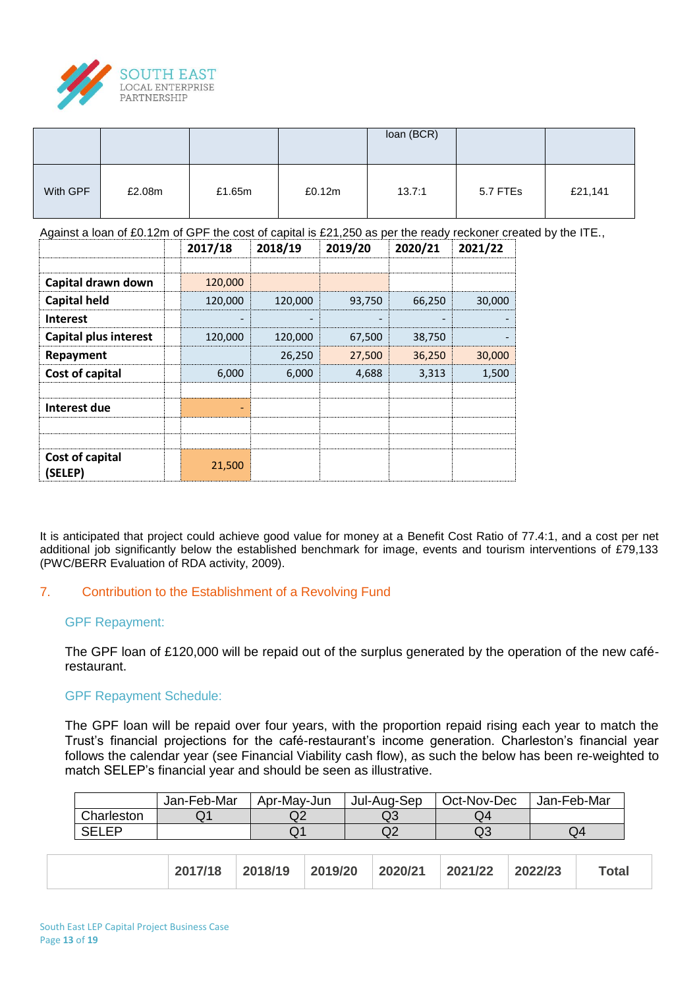

|          |        |        |        | loan (BCR) |          |         |
|----------|--------|--------|--------|------------|----------|---------|
| With GPF | £2.08m | £1.65m | £0.12m | 13.7:1     | 5.7 FTEs | £21,141 |

Against a loan of £0.12m of GPF the cost of capital is £21,250 as per the ready reckoner created by the ITE.,

|                              | 2017/18 | 2018/19 | 2019/20 | 2020/21 | 2021/22 |
|------------------------------|---------|---------|---------|---------|---------|
|                              |         |         |         |         |         |
| Capital drawn down           | 120,000 |         |         |         |         |
| <b>Capital held</b>          | 120,000 | 120,000 | 93,750  | 66.250  | 30,000  |
| <b>Interest</b>              |         |         |         |         |         |
| <b>Capital plus interest</b> | 120,000 | 120,000 | 67,500  | 38,750  |         |
| Repayment                    |         | 26,250  | 27,500  | 36,250  | 30,000  |
| Cost of capital              | 6,000   | 6.000   | 4,688   | 3,313   | 1.500   |
| Interest due                 |         |         |         |         |         |
|                              |         |         |         |         |         |
| Cost of capital<br>(SELEP)   | 21,500  |         |         |         |         |

It is anticipated that project could achieve good value for money at a Benefit Cost Ratio of 77.4:1, and a cost per net additional job significantly below the established benchmark for image, events and tourism interventions of £79,133 (PWC/BERR Evaluation of RDA activity, 2009).

## 7. Contribution to the Establishment of a Revolving Fund

## GPF Repayment:

The GPF loan of £120,000 will be repaid out of the surplus generated by the operation of the new caférestaurant.

## GPF Repayment Schedule:

The GPF loan will be repaid over four years, with the proportion repaid rising each year to match the Trust's financial projections for the café-restaurant's income generation. Charleston's financial year follows the calendar year (see Financial Viability cash flow), as such the below has been re-weighted to match SELEP's financial year and should be seen as illustrative.

|              | Jan-Feb-Mar | Apr-May-Jun    | Jul-Aug-Sep | Oct-Nov-Dec | Jan-Feb-Mar |
|--------------|-------------|----------------|-------------|-------------|-------------|
| Charleston   |             | ∩∩<br>Q4       | wo          | Q4          |             |
| <b>SELEP</b> |             | $\mathbf{u}$ . | $\alpha$    | Q3          | Q4          |

| 2017/18 2018/19 | 2019/20 | 2020/21 | 2021/22 | 2022/23 | <b>Total</b> |
|-----------------|---------|---------|---------|---------|--------------|
|-----------------|---------|---------|---------|---------|--------------|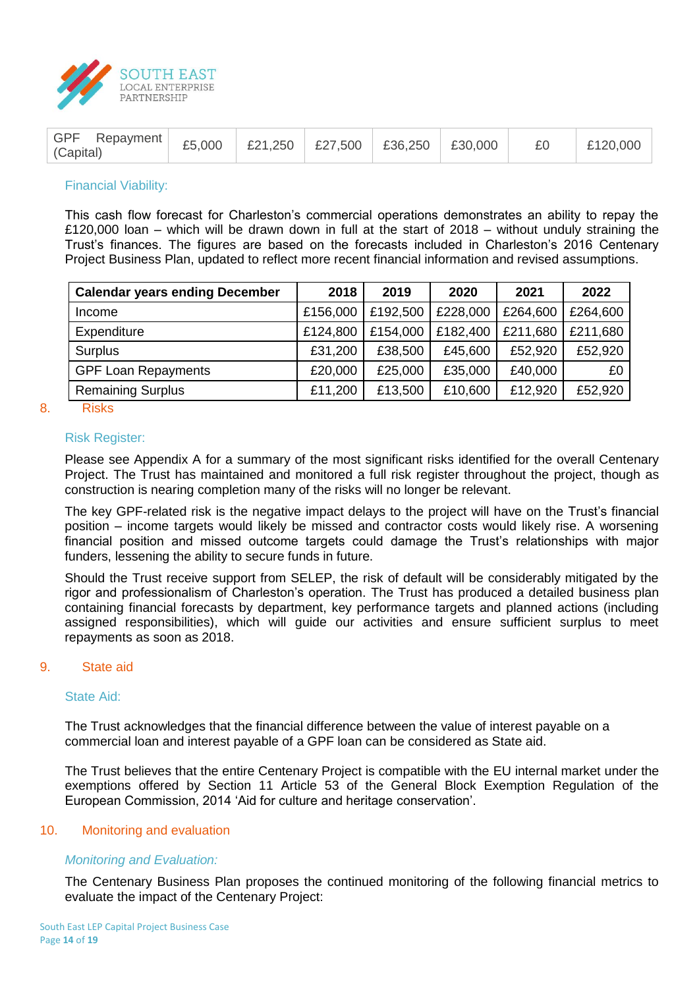

| GPF Repayment<br>£5,000<br>(Capital) | £21,250   £27,500   £36,250   £30,000 |  |  | £0 | £120,000 |
|--------------------------------------|---------------------------------------|--|--|----|----------|
|--------------------------------------|---------------------------------------|--|--|----|----------|

#### Financial Viability:

This cash flow forecast for Charleston's commercial operations demonstrates an ability to repay the £120,000 loan – which will be drawn down in full at the start of 2018 – without unduly straining the Trust's finances. The figures are based on the forecasts included in Charleston's 2016 Centenary Project Business Plan, updated to reflect more recent financial information and revised assumptions.

| <b>Calendar years ending December</b> | 2018     | 2019     | 2020     | 2021     | 2022     |
|---------------------------------------|----------|----------|----------|----------|----------|
| Income                                | £156,000 | £192,500 | £228,000 | £264,600 | £264,600 |
| Expenditure                           | £124,800 | £154,000 | £182,400 | £211,680 | £211,680 |
| Surplus                               | £31,200  | £38,500  | £45,600  | £52,920  | £52,920  |
| <b>GPF Loan Repayments</b>            | £20,000  | £25,000  | £35,000  | £40,000  | £0       |
| <b>Remaining Surplus</b>              | £11,200  | £13,500  | £10,600  | £12,920  | £52,920  |

#### 8. Risks

#### Risk Register:

Please see Appendix A for a summary of the most significant risks identified for the overall Centenary Project. The Trust has maintained and monitored a full risk register throughout the project, though as construction is nearing completion many of the risks will no longer be relevant.

The key GPF-related risk is the negative impact delays to the project will have on the Trust's financial position – income targets would likely be missed and contractor costs would likely rise. A worsening financial position and missed outcome targets could damage the Trust's relationships with major funders, lessening the ability to secure funds in future.

Should the Trust receive support from SELEP, the risk of default will be considerably mitigated by the rigor and professionalism of Charleston's operation. The Trust has produced a detailed business plan containing financial forecasts by department, key performance targets and planned actions (including assigned responsibilities), which will guide our activities and ensure sufficient surplus to meet repayments as soon as 2018.

#### 9. State aid

#### State Aid:

The Trust acknowledges that the financial difference between the value of interest payable on a commercial loan and interest payable of a GPF loan can be considered as State aid.

The Trust believes that the entire Centenary Project is compatible with the EU internal market under the exemptions offered by Section 11 Article 53 of the General Block Exemption Regulation of the European Commission, 2014 'Aid for culture and heritage conservation'.

#### 10. Monitoring and evaluation

## *Monitoring and Evaluation:*

The Centenary Business Plan proposes the continued monitoring of the following financial metrics to evaluate the impact of the Centenary Project: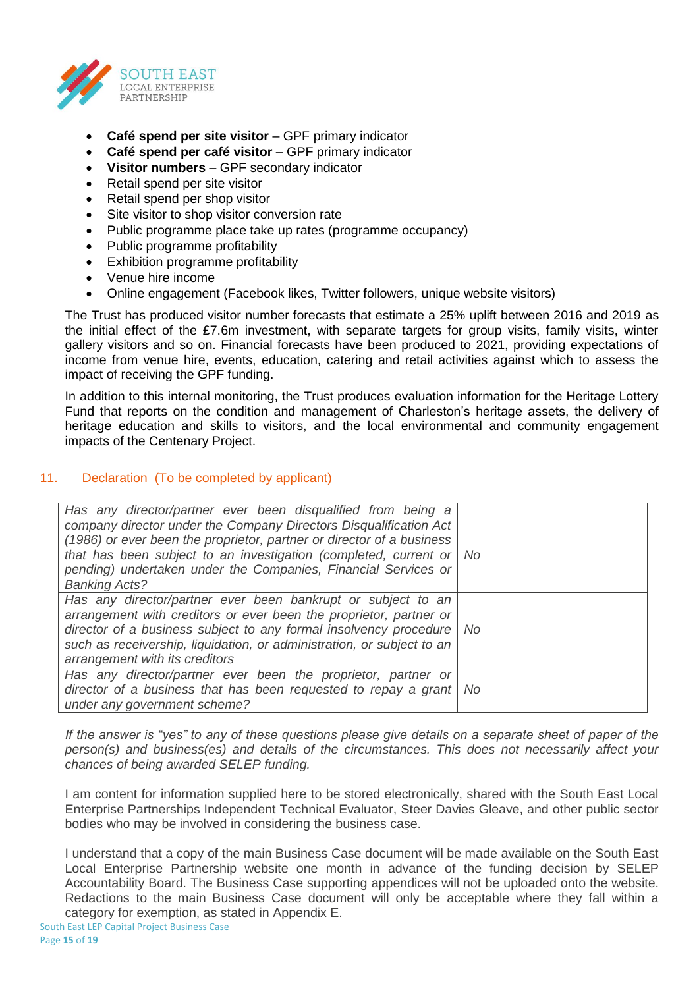

- **Café spend per site visitor** GPF primary indicator
- **Café spend per café visitor** GPF primary indicator
- **Visitor numbers** GPF secondary indicator
- Retail spend per site visitor
- Retail spend per shop visitor
- Site visitor to shop visitor conversion rate
- Public programme place take up rates (programme occupancy)
- Public programme profitability
- Exhibition programme profitability
- Venue hire income
- Online engagement (Facebook likes, Twitter followers, unique website visitors)

The Trust has produced visitor number forecasts that estimate a 25% uplift between 2016 and 2019 as the initial effect of the £7.6m investment, with separate targets for group visits, family visits, winter gallery visitors and so on. Financial forecasts have been produced to 2021, providing expectations of income from venue hire, events, education, catering and retail activities against which to assess the impact of receiving the GPF funding.

In addition to this internal monitoring, the Trust produces evaluation information for the Heritage Lottery Fund that reports on the condition and management of Charleston's heritage assets, the delivery of heritage education and skills to visitors, and the local environmental and community engagement impacts of the Centenary Project.

# 11. Declaration (To be completed by applicant)

| Has any director/partner ever been disqualified from being a<br>company director under the Company Directors Disqualification Act<br>(1986) or ever been the proprietor, partner or director of a business<br>that has been subject to an investigation (completed, current or No<br>pending) undertaken under the Companies, Financial Services or<br><b>Banking Acts?</b> |  |
|-----------------------------------------------------------------------------------------------------------------------------------------------------------------------------------------------------------------------------------------------------------------------------------------------------------------------------------------------------------------------------|--|
| Has any director/partner ever been bankrupt or subject to an<br>arrangement with creditors or ever been the proprietor, partner or<br>director of a business subject to any formal insolvency procedure   No<br>such as receivership, liquidation, or administration, or subject to an<br>arrangement with its creditors                                                    |  |
| Has any director/partner ever been the proprietor, partner or<br>director of a business that has been requested to repay a grant   No<br>under any government scheme?                                                                                                                                                                                                       |  |

*If the answer is "yes" to any of these questions please give details on a separate sheet of paper of the person(s) and business(es) and details of the circumstances. This does not necessarily affect your chances of being awarded SELEP funding.*

I am content for information supplied here to be stored electronically, shared with the South East Local Enterprise Partnerships Independent Technical Evaluator, Steer Davies Gleave, and other public sector bodies who may be involved in considering the business case.

I understand that a copy of the main Business Case document will be made available on the South East Local Enterprise Partnership website one month in advance of the funding decision by SELEP Accountability Board. The Business Case supporting appendices will not be uploaded onto the website. Redactions to the main Business Case document will only be acceptable where they fall within a category for exemption, as stated in Appendix E.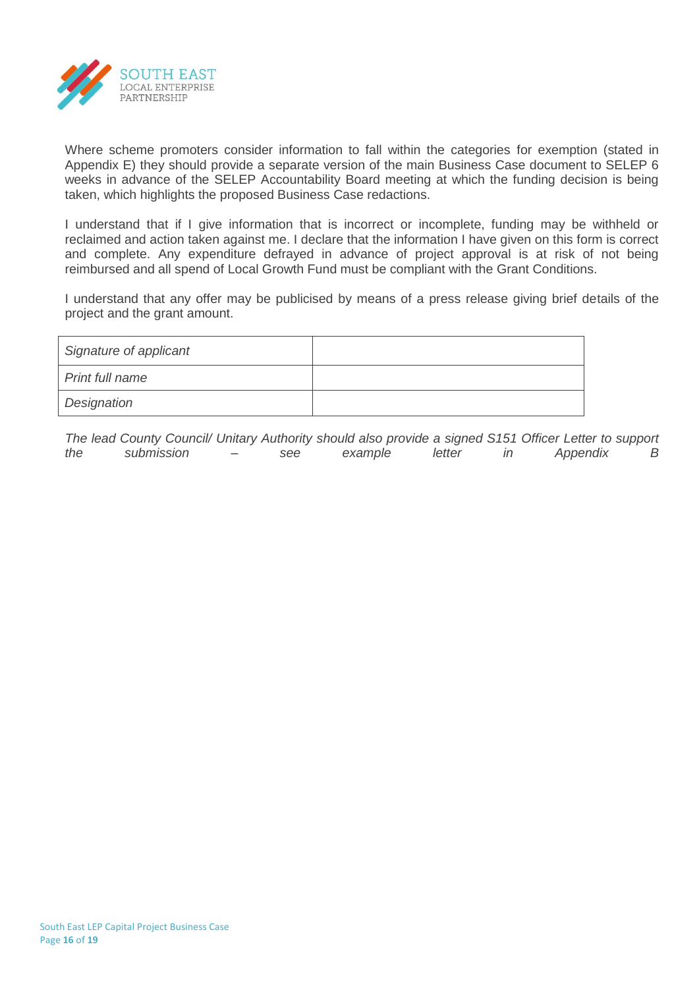

Where scheme promoters consider information to fall within the categories for exemption (stated in Appendix E) they should provide a separate version of the main Business Case document to SELEP 6 weeks in advance of the SELEP Accountability Board meeting at which the funding decision is being taken, which highlights the proposed Business Case redactions.

I understand that if I give information that is incorrect or incomplete, funding may be withheld or reclaimed and action taken against me. I declare that the information I have given on this form is correct and complete. Any expenditure defrayed in advance of project approval is at risk of not being reimbursed and all spend of Local Growth Fund must be compliant with the Grant Conditions.

I understand that any offer may be publicised by means of a press release giving brief details of the project and the grant amount.

| Signature of applicant |  |
|------------------------|--|
| Print full name        |  |
| Designation            |  |

*The lead County Council/ Unitary Authority should also provide a signed S151 Officer Letter to support the submission – see example letter in Appendix B*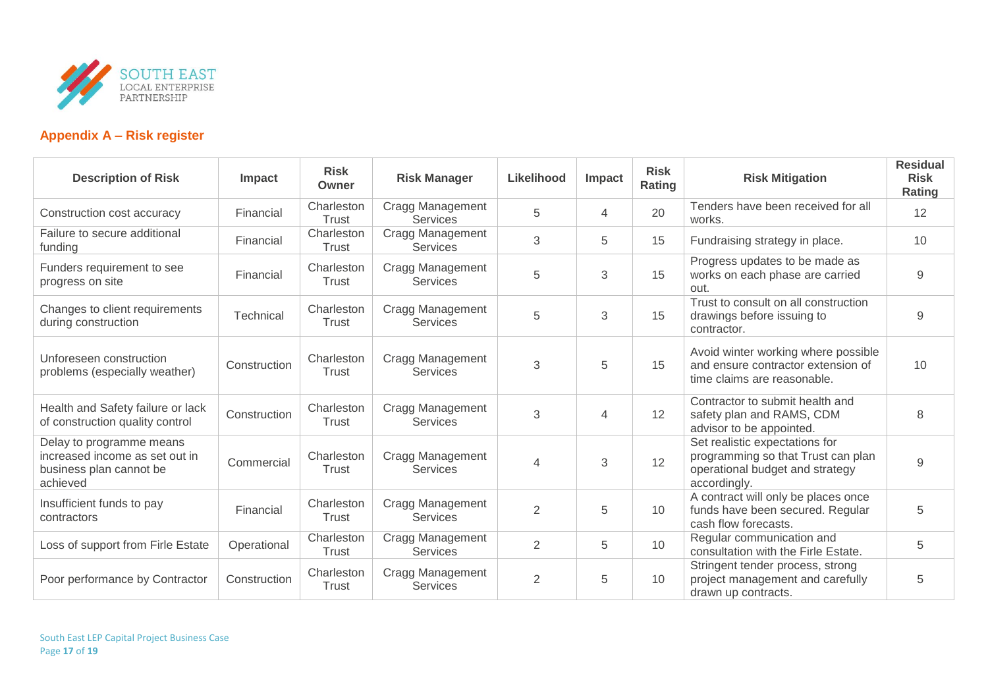

# **Appendix A – Risk register**

| <b>Description of Risk</b>                                                                        | Impact       | <b>Risk</b><br>Owner | <b>Risk Manager</b>                        | Likelihood     | Impact         | <b>Risk</b><br>Rating | <b>Risk Mitigation</b>                                                                                                  | <b>Residual</b><br><b>Risk</b><br>Rating |
|---------------------------------------------------------------------------------------------------|--------------|----------------------|--------------------------------------------|----------------|----------------|-----------------------|-------------------------------------------------------------------------------------------------------------------------|------------------------------------------|
| Construction cost accuracy                                                                        | Financial    | Charleston<br>Trust  | Cragg Management<br><b>Services</b>        | 5              | 4              | 20                    | Tenders have been received for all<br>works.                                                                            | 12                                       |
| Failure to secure additional<br>funding                                                           | Financial    | Charleston<br>Trust  | Cragg Management<br><b>Services</b>        | 3              | 5              | 15                    | Fundraising strategy in place.                                                                                          | 10                                       |
| Funders requirement to see<br>progress on site                                                    | Financial    | Charleston<br>Trust  | Cragg Management<br><b>Services</b>        | 5              | $\sqrt{3}$     | 15                    | Progress updates to be made as<br>works on each phase are carried<br>out.                                               | $9$                                      |
| Changes to client requirements<br>during construction                                             | Technical    | Charleston<br>Trust  | Cragg Management<br><b>Services</b>        | 5              | 3              | 15                    | Trust to consult on all construction<br>drawings before issuing to<br>contractor.                                       | 9                                        |
| Unforeseen construction<br>problems (especially weather)                                          | Construction | Charleston<br>Trust  | Cragg Management<br><b>Services</b>        | 3              | 5              | 15                    | Avoid winter working where possible<br>and ensure contractor extension of<br>time claims are reasonable.                | 10                                       |
| Health and Safety failure or lack<br>of construction quality control                              | Construction | Charleston<br>Trust  | Cragg Management<br><b>Services</b>        | 3              | $\overline{4}$ | 12                    | Contractor to submit health and<br>safety plan and RAMS, CDM<br>advisor to be appointed.                                | 8                                        |
| Delay to programme means<br>increased income as set out in<br>business plan cannot be<br>achieved | Commercial   | Charleston<br>Trust  | Cragg Management<br><b>Services</b>        | $\overline{4}$ | 3              | 12                    | Set realistic expectations for<br>programming so that Trust can plan<br>operational budget and strategy<br>accordingly. | 9                                        |
| Insufficient funds to pay<br>contractors                                                          | Financial    | Charleston<br>Trust  | <b>Cragg Management</b><br><b>Services</b> | $\overline{2}$ | 5              | 10                    | A contract will only be places once<br>funds have been secured. Regular<br>cash flow forecasts.                         | 5                                        |
| Loss of support from Firle Estate                                                                 | Operational  | Charleston<br>Trust  | Cragg Management<br><b>Services</b>        | $\overline{2}$ | 5              | 10                    | Regular communication and<br>consultation with the Firle Estate.                                                        | 5                                        |
| Poor performance by Contractor                                                                    | Construction | Charleston<br>Trust  | Cragg Management<br><b>Services</b>        | $\overline{2}$ | 5              | 10                    | Stringent tender process, strong<br>project management and carefully<br>drawn up contracts.                             | 5                                        |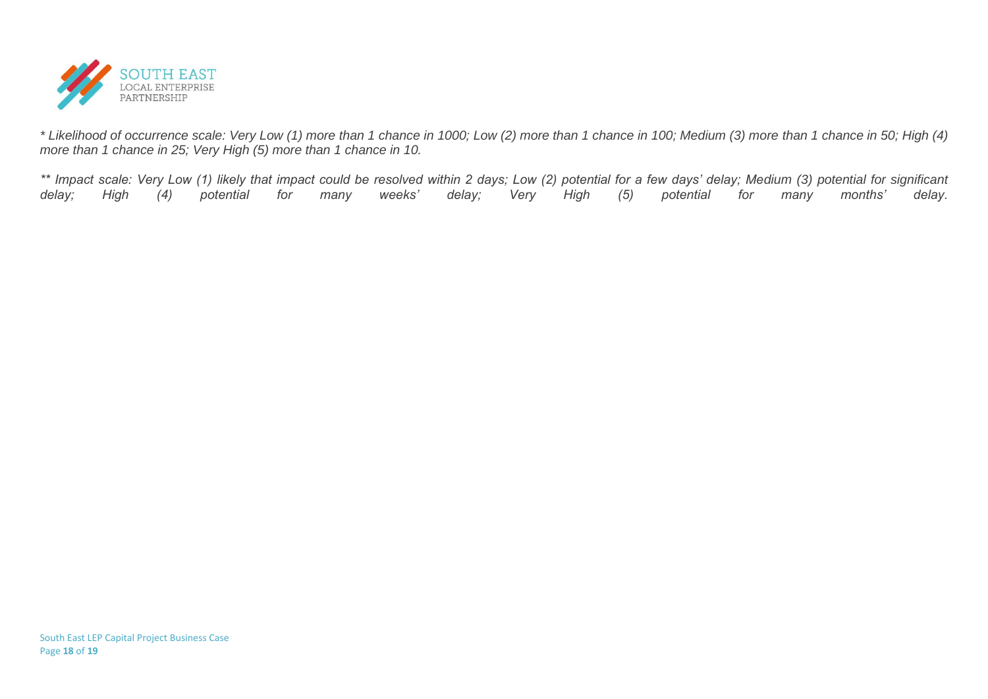

*\* Likelihood of occurrence scale: Very Low (1) more than 1 chance in 1000; Low (2) more than 1 chance in 100; Medium (3) more than 1 chance in 50; High (4) more than 1 chance in 25; Very High (5) more than 1 chance in 10.*

*\*\* Impact scale: Very Low (1) likely that impact could be resolved within 2 days; Low (2) potential for a few days' delay; Medium (3) potential for significant delay; High (4) potential for many weeks' delay; Very High (5) potential for many months' delay.*